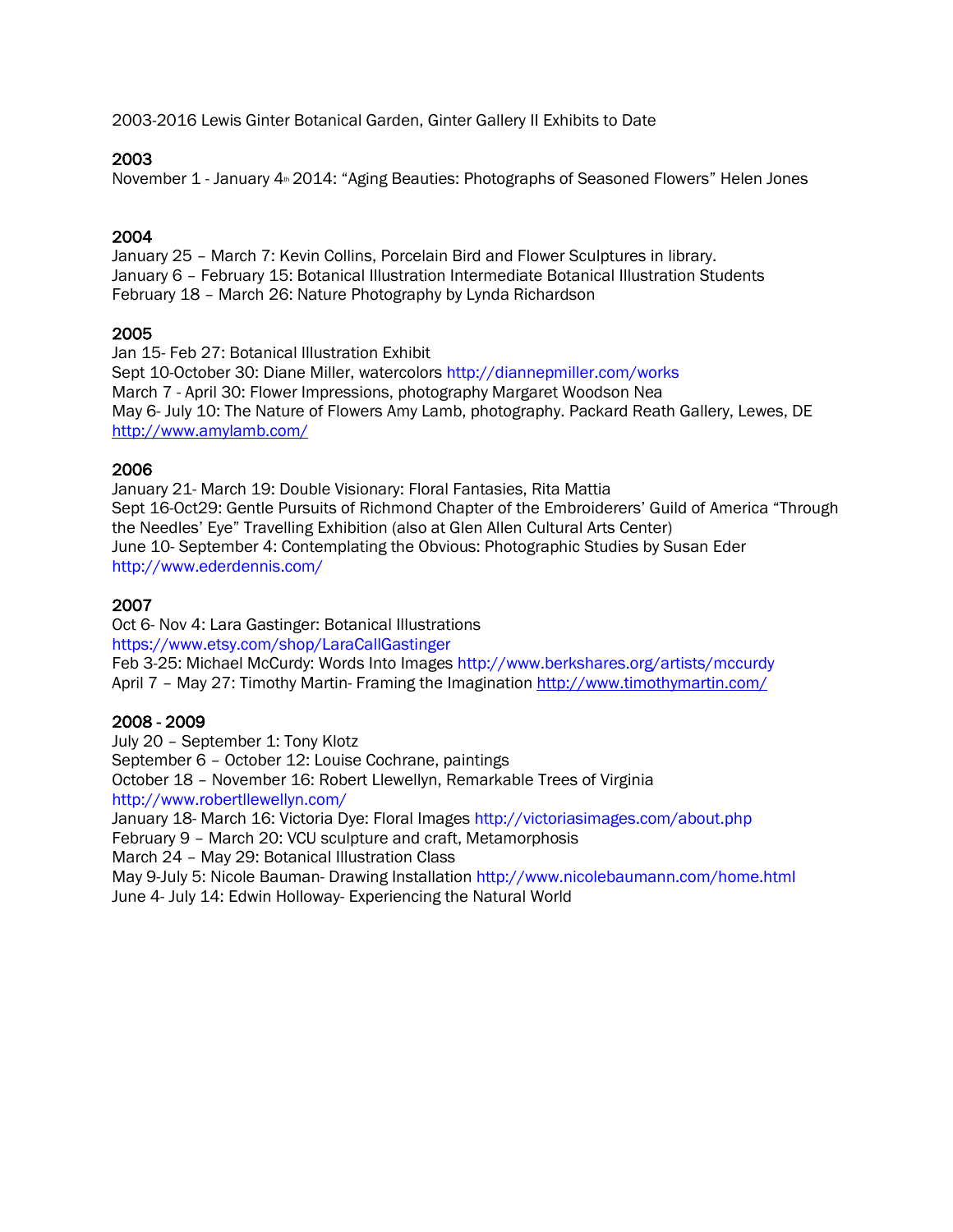2003-2016 Lewis Ginter Botanical Garden, Ginter Gallery II Exhibits to Date

#### 2003

November 1 - January 4<sup>th</sup> 2014: "Aging Beauties: Photographs of Seasoned Flowers" Helen Jones

#### 2004

January 25 – March 7: Kevin Collins, Porcelain Bird and Flower Sculptures in library. January 6 – February 15: Botanical Illustration Intermediate Botanical Illustration Students February 18 – March 26: Nature Photography by Lynda Richardson

### 2005

Jan 15- Feb 27: Botanical Illustration Exhibit Sept 10-October 30: Diane Miller, watercolors http://diannepmiller.com/works March 7 - April 30: Flower Impressions, photography Margaret Woodson Nea May 6- July 10: The Nature of Flowers Amy Lamb, photography. Packard Reath Gallery, Lewes, DE <http://www.amylamb.com/>

### 2006

January 21- March 19: Double Visionary: Floral Fantasies, Rita Mattia Sept 16-Oct29: Gentle Pursuits of Richmond Chapter of the Embroiderers' Guild of America "Through the Needles' Eye" Travelling Exhibition (also at Glen Allen Cultural Arts Center) June 10- September 4: Contemplating the Obvious: Photographic Studies by Susan Eder http://www.ederdennis.com/

# 2007

Oct 6- Nov 4: Lara Gastinger: Botanical Illustrations

https://www.etsy.com/shop/LaraCallGastinger

Feb 3-25: Michael McCurdy: Words Into Images http://www.berkshares.org/artists/mccurdy April 7 - May 27: Timothy Martin- Framing the Imagination<http://www.timothymartin.com/>

# 2008 - 2009

July 20 – September 1: Tony Klotz September 6 – October 12: Louise Cochrane, paintings October 18 – November 16: Robert Llewellyn, Remarkable Trees of Virginia http://www.robertllewellyn.com/ January 18- March 16: Victoria Dye: Floral Images http://victoriasimages.com/about.php

February 9 – March 20: VCU sculpture and craft, Metamorphosis

March 24 – May 29: Botanical Illustration Class

May 9-July 5: Nicole Bauman- Drawing Installation http://www.nicolebaumann.com/home.html June 4- July 14: Edwin Holloway- Experiencing the Natural World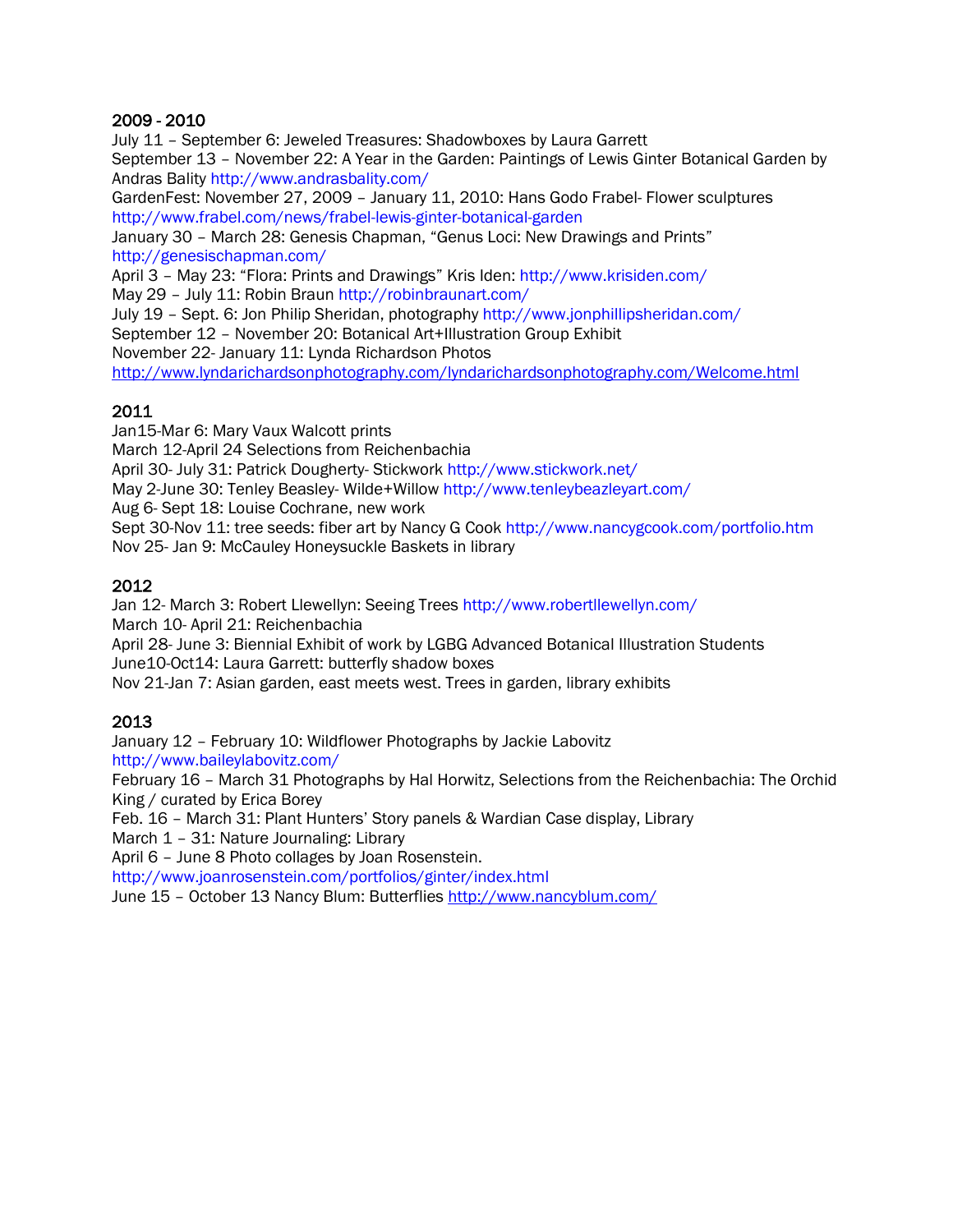#### 2009 - 2010

July 11 – September 6: Jeweled Treasures: Shadowboxes by Laura Garrett September 13 – November 22: A Year in the Garden: Paintings of Lewis Ginter Botanical Garden by Andras Bality http://www.andrasbality.com/

GardenFest: November 27, 2009 – January 11, 2010: Hans Godo Frabel- Flower sculptures http://www.frabel.com/news/frabel-lewis-ginter-botanical-garden

January 30 – March 28: Genesis Chapman, "Genus Loci: New Drawings and Prints" http://genesischapman.com/

April 3 – May 23: "Flora: Prints and Drawings" Kris Iden: http://www.krisiden.com/

May 29 – July 11: Robin Braun http://robinbraunart.com/

July 19 – Sept. 6: Jon Philip Sheridan, photography http://www.jonphillipsheridan.com/ September 12 – November 20: Botanical Art+Illustration Group Exhibit November 22- January 11: Lynda Richardson Photos

<http://www.lyndarichardsonphotography.com/lyndarichardsonphotography.com/Welcome.html>

# 2011

Jan15-Mar 6: Mary Vaux Walcott prints

March 12-April 24 Selections from Reichenbachia

April 30- July 31: Patrick Dougherty- Stickwork http://www.stickwork.net/

May 2-June 30: Tenley Beasley- Wilde+Willow http://www.tenleybeazleyart.com/

Aug 6- Sept 18: Louise Cochrane, new work

Sept 30-Nov 11: tree seeds: fiber art by Nancy G Cook http://www.nancygcook.com/portfolio.htm Nov 25- Jan 9: McCauley Honeysuckle Baskets in library

# 2012

Jan 12- March 3: Robert Llewellyn: Seeing Trees http://www.robertllewellyn.com/ March 10- April 21: Reichenbachia

April 28- June 3: Biennial Exhibit of work by LGBG Advanced Botanical Illustration Students June10-Oct14: Laura Garrett: butterfly shadow boxes

Nov 21-Jan 7: Asian garden, east meets west. Trees in garden, library exhibits

# 2013

January 12 – February 10: Wildflower Photographs by Jackie Labovitz http://www.baileylabovitz.com/

February 16 – March 31 Photographs by Hal Horwitz, Selections from the Reichenbachia: The Orchid King / curated by Erica Borey

Feb. 16 – March 31: Plant Hunters' Story panels & Wardian Case display, Library

March 1 – 31: Nature Journaling: Library

April 6 – June 8 Photo collages by Joan Rosenstein.

http://www.joanrosenstein.com/portfolios/ginter/index.html

June 15 – October 13 Nancy Blum: Butterflies<http://www.nancyblum.com/>